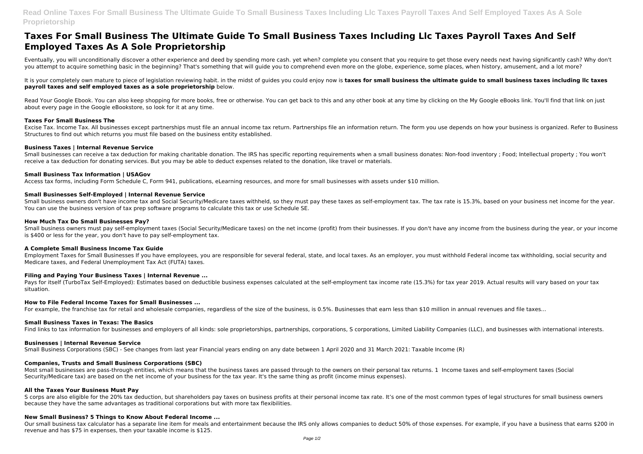**Read Online Taxes For Small Business The Ultimate Guide To Small Business Taxes Including Llc Taxes Payroll Taxes And Self Employed Taxes As A Sole Proprietorship**

Eventually, you will unconditionally discover a other experience and deed by spending more cash. yet when? complete you consent that you require to get those every needs next having significantly cash? Why don't you attempt to acquire something basic in the beginning? That's something that will guide you to comprehend even more on the globe, experience, some places, when history, amusement, and a lot more?

# **Taxes For Small Business The Ultimate Guide To Small Business Taxes Including Llc Taxes Payroll Taxes And Self Employed Taxes As A Sole Proprietorship**

It is your completely own mature to piece of legislation reviewing habit. in the midst of guides you could enjoy now is **taxes for small business the ultimate quide to small business taxes including IIc taxes payroll taxes and self employed taxes as a sole proprietorship** below.

Read Your Google Ebook. You can also keep shopping for more books, free or otherwise. You can get back to this and any other book at any time by clicking on the My Google eBooks link. You'll find that link on just about every page in the Google eBookstore, so look for it at any time.

## **Taxes For Small Business The**

Small business owners must pay self-employment taxes (Social Security/Medicare taxes) on the net income (profit) from their businesses. If you don't have any income from the business during the year, or your income is \$400 or less for the year, you don't have to pay self-employment tax.

Excise Tax. Income Tax. All businesses except partnerships must file an annual income tax return. Partnerships file an information return. The form you use depends on how your business is organized. Refer to Business Structures to find out which returns you must file based on the business entity established.

#### **Business Taxes | Internal Revenue Service**

Pays for itself (TurboTax Self-Employed): Estimates based on deductible business expenses calculated at the self-employment tax income rate (15.3%) for tax year 2019. Actual results will vary based on your tax situation.

Small businesses can receive a tax deduction for making charitable donation. The IRS has specific reporting requirements when a small business donates: Non-food inventory ; Food; Intellectual property ; You won't receive a tax deduction for donating services. But you may be able to deduct expenses related to the donation, like travel or materials.

#### **Small Business Tax Information | USAGov**

Access tax forms, including Form Schedule C, Form 941, publications, eLearning resources, and more for small businesses with assets under \$10 million.

#### **Small Businesses Self-Employed | Internal Revenue Service**

Small business owners don't have income tax and Social Security/Medicare taxes withheld, so they must pay these taxes as self-employment tax. The tax rate is 15.3%, based on your business net income for the year. You can use the business version of tax prep software programs to calculate this tax or use Schedule SE.

S corps are also eligible for the 20% tax deduction, but shareholders pay taxes on business profits at their personal income tax rate. It's one of the most common types of legal structures for small business owners because they have the same advantages as traditional corporations but with more tax flexibilities.

#### **How Much Tax Do Small Businesses Pay?**

Our small business tax calculator has a separate line item for meals and entertainment because the IRS only allows companies to deduct 50% of those expenses. For example, if you have a business that earns \$200 in revenue and has \$75 in expenses, then your taxable income is \$125.

#### **A Complete Small Business Income Tax Guide**

Employment Taxes for Small Businesses If you have employees, you are responsible for several federal, state, and local taxes. As an employer, you must withhold Federal income tax withholding, social security and Medicare taxes, and Federal Unemployment Tax Act (FUTA) taxes.

# **Filing and Paying Your Business Taxes | Internal Revenue ...**

## **How to File Federal Income Taxes for Small Businesses ...**

For example, the franchise tax for retail and wholesale companies, regardless of the size of the business, is 0.5%. Businesses that earn less than \$10 million in annual revenues and file taxes...

## **Small Business Taxes in Texas: The Basics**

Find links to tax information for businesses and employers of all kinds: sole proprietorships, partnerships, corporations, S corporations, Limited Liability Companies (LLC), and businesses with international interests.

#### **Businesses | Internal Revenue Service**

Small Business Corporations (SBC) - See changes from last year Financial years ending on any date between 1 April 2020 and 31 March 2021: Taxable Income (R)

## **Companies, Trusts and Small Business Corporations (SBC)**

Most small businesses are pass-through entities, which means that the business taxes are passed through to the owners on their personal tax returns. 1 Income taxes and self-employment taxes (Social Security/Medicare tax) are based on the net income of your business for the tax year. It's the same thing as profit (income minus expenses).

#### **All the Taxes Your Business Must Pay**

## **New Small Business? 5 Things to Know About Federal Income ...**